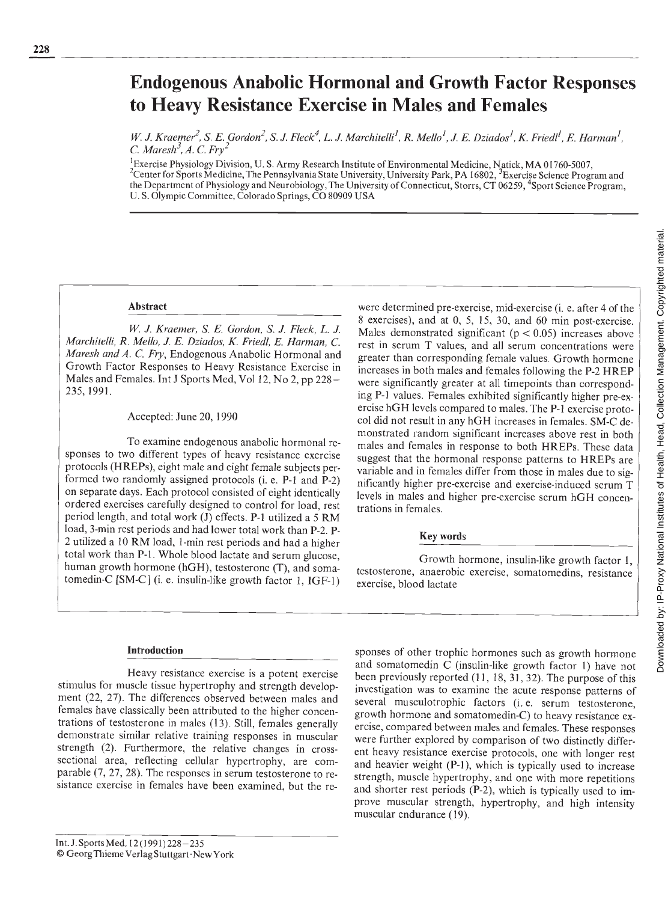# Endogenous Anabolic Hormonal and Growth Factor Responses to Heavy Resistance Exercise in Males and Females

W. J. Kraemer<sup>2</sup>, S. E. Gordon<sup>2</sup>, S. J. Fleck<sup>4</sup>, L. J. Marchitelli<sup>1</sup>, R. Mello<sup>1</sup>, J. E. Dziados<sup>1</sup>, K. Friedl<sup>1</sup>, E. Harman<sup>1</sup>, C. Maresh<sup>3</sup>, A. C. Fry<sup>2</sup>

<sup>1</sup> Exercise Physiology Division, U. S. Army Research Institute of Environmental Medicine, Natick, MA 01760-5007, <sup>2</sup>Center for Sports Medicine, The Pennsylvania State University, University Park, PA 16802, <sup>3</sup>Exercise Science Program and the Department of Physiology and Neurobiology, The University of Connecticut, Storrs, CT 06259, 4Sport Science Program, U. S. Olympic Committee, Colorado Springs, CO 80909 USA

### Abstract

W. J. Kraemer, S. E. Gordon, S. J. Fleck, L. J. Marchiteii, R. Mello, J. E. Dziados, K. Friedl, E. Harman, C. Maresh and A. C. Fry, Endogenous Anabolic Hormonal and Growth Factor Responses to Heavy Resistance Exercise in Males and Females. Int J Sports Med, Vol 12, No 2, pp 228– 235, 1991.

Accepted: June 20, 1990

To examine endogenous anabolic hormonal responses to two different types of heavy resistance exercise protocols (HREPs), eight male and eight female subjects performed two randomly assigned protocols (i. e. P-i and P-2) on separate days. Each protocol consisted of eight identically ordered exercises carefully designed to control for load, rest period length, and total work (J) effects. P-l utilized a 5 RM load, 3-min rest periods and had lower total work than P-2. P-2 utilized a 10 RM load, 1-min rest periods and had a higher total work than P-i. Whole blood lactate and serum glucose, human growth hormone (hGH), testosterone (T), and somatomedin-C (SM-C] (i. e. insulin-like growth factor 1, IGF-l)

were determined pre-exercise, mid-exercise (i. e. after 4 of the<br>
8 exercises), and at 0, 5, 15, 30, and 60 min post-exercise.<br>
Makes demonstrated significant ( $\rho < 0.05$ ) increases above<br>
rest in serum T values, and all  $8$  exercises), and at 0, 5, 15, 30, and 60 min post-exercise. Males demonstrated significant ( $p < 0.05$ ) increases above rest in serum T values, and all serum concentrations were greater than corresponding female values. Growth hormone increases in both males and females following the P-2 HREP were significantly greater at all timepoints than corresponding P-i values. Females exhibited significantly higher pre-exercise hGH levels compared to males. The P-i exercise protocol did not result in any hGH increases in females. SM-C demonstrated random significant increases above rest in both males and females in response to both HREPs. These data suggest that the hormonal response patterns to HREPs are variable and in females differ from those in males due to significantly higher pre-exercise and exercise-induced serum T levels in males and higher pre-exercise serum hGH concentrations in females.

# Key words

Growth hormone, insulin-like growth factor 1, testosterone, anaerobic exercise, somatomedins, resistance exercise, blood lactate

#### Introduction

Heavy resistance exercise is a potent exercise stimulus for muscle tissue hypertrophy and strength development (22, 27). The differences observed between males and females have classically been attributed to the higher concentrations of testosterone in males (13). Still, females generally demonstrate similar relative training responses in muscular strength (2). Furthermore, the relative changes in crosssectional area, reflecting cellular hypertrophy, are comparable (7, 27, 28). The responses in serum testosterone to resistance exercise in females have been examined, but the re-

sponses of other trophic hormones such as growth hormone and somatomedin C (insulin-like growth factor 1) have not been previously reported (11, 18, 31, 32). The purpose of this investigation was to examine the acute response patterns of several musculotrophic factors (i. e. serum testosterone, growth hormone and somatomedin-C) to heavy resistance exercise, compared between males and females. These responses were further explored by comparison of two distinctly different heavy resistance exercise protocols, one with longer rest and heavier weight (P-I), which is typically used to increase strength, muscle hypertrophy, and one with more repetitions and shorter rest periods (P-2), which is typically used to improve muscular strength, hypertrophy, and high intensity muscular endurance (19).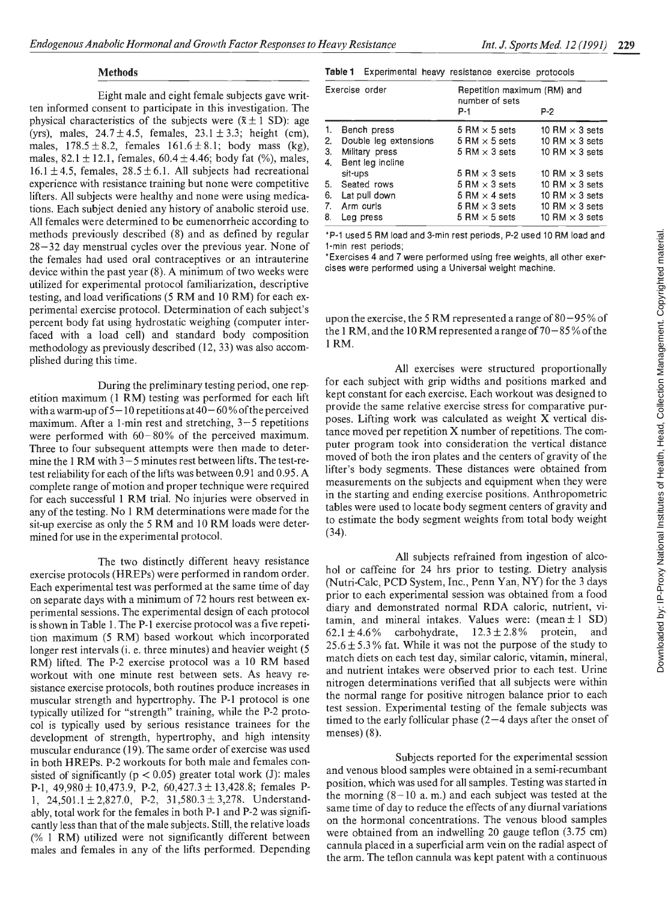## **Methods**

Eight male and eight female subjects gave written informed consent to participate in this investigation. The physical characteristics of the subjects were  $(\bar{x} \pm 1 \text{ SD})$ : age (yrs), males,  $24.7 \pm 4.5$ , females,  $23.1 \pm 3.3$ ; height (cm), males,  $178.5 \pm 8.2$ , females  $161.6 \pm 8.1$ ; body mass (kg), males,  $82.1 \pm 12.1$ , females,  $60.4 \pm 4.46$ ; body fat (%), males,  $16.1 \pm 4.5$ , females,  $28.5 \pm 6.1$ . All subjects had recreational experience with resistance training but none were competitive lifters. All subjects were healthy and none were using medications. Each subject denied any history of anabolic steroid use. All females were determined to be eumenorrheic according to methods previously described (8) and as defined by regular 28—32 day menstrual cycles over the previous year. None of the females had used oral contraceptives or an intrauterine device within the past year (8). A minimum of two weeks were utilized for experimental protocol familiarization, descriptive testing, and load verifications (5 RM and 10 RM) for each experimental exercise protocol. Determination of each subject's percent body fat using hydrostatic weighing (computer inter- faced with a load cell) and standard body composition methodology as previously described (12, 33) was also accomplished during this time.

During the preliminary testing period, one repetition maximum (1 RM) testing was performed for each lift with a warm-up of  $5-10$  repetitions at  $40-60$ % of the perceived maximum. After a 1-min rest and stretching, 3-5 repetitions were performed with  $60-80\%$  of the perceived maximum. Three to four subsequent attempts were then made to determine the 1 RM with 3—5 minutes rest between lifts. The test-retest reliability for each of the lifts was between 0.91 and 0.95. A complete range of motion and proper technique were required for each successful 1 RM trial. No injuries were observed in any of the testing. No I RM determinations were made for the sit-up exercise as only the 5 RM and 10 RM loads were determined for use in the experimental protocol.

The two distinctly different heavy resistance exercise protocols (HREPs) were performed in random order. Each experimental test was performed at the same time of day on separate days with a minimum of 72 hours rest between experimental sessions. The experimental design of each protocol is shown in Table 1. The P-I exercise protocol was a five repetition maximum (5 RM) based workout which incorporated  $62.1 \pm 4.6\%$ longer rest intervals (*i. e.* three minutes) and heavier weight (5) RM) lifted. The P-2 exercise protocol was a 10 RM based workout with one minute rest between sets. As heavy resistance exercise protocols, both routines produce increases in muscular strength and hypertrophy. The P-1 protocol is one typically utilized for "strength" training, while the P-2 protocol is typically used by serious resistance trainees for the development of strength, hypertrophy, and high intensity muscular endurance (19). The same order of exercise was used in both HREPs. P-2 workouts for both male and females consisted of significantly ( $p < 0.05$ ) greater total work (J): males P-1,  $49,980 \pm 10,473.9$ , P-2,  $60,427.3 \pm 13,428.8$ ; females P-1,  $24,501.1 \pm 2,827.0$ , P-2,  $31,580.3 \pm 3,278$ . Understandably, total work for the females in both P-1 and P-2 was significantly less than that of the male subjects. Still, the relative loads (% 1 RM) utilized were not significantly different between males and females in any of the lifts performed. Depending

|  | Table 1 Experimental heavy resistance exercise protocols |  |  |  |  |
|--|----------------------------------------------------------|--|--|--|--|
|--|----------------------------------------------------------|--|--|--|--|

| Exercise order |                       | Repetition maximum (RM) and<br>number of sets |                       |  |  |
|----------------|-----------------------|-----------------------------------------------|-----------------------|--|--|
|                |                       | $P-1$                                         | P-2                   |  |  |
| 1.             | Bench press           | 5 RM $\times$ 5 sets                          | 10 RM $\times$ 3 sets |  |  |
| 2.             | Double leg extensions | $5 \,$ RM $\times$ 5 sets                     | 10 RM $\times$ 3 sets |  |  |
| 3.             | Military press        | $5 \text{ RM} \times 3 \text{ sets}$          | 10 RM $\times$ 3 sets |  |  |
| 4.             | Bent leg incline      |                                               |                       |  |  |
|                | sit-ups               | 5 RM $\times$ 3 sets                          | 10 RM $\times$ 3 sets |  |  |
| 5.             | Seated rows           | 5 RM $\times$ 3 sets                          | 10 RM $\times$ 3 sets |  |  |
| 6.             | Lat pull down         | 5 RM $\times$ 4 sets                          | 10 RM $\times$ 3 sets |  |  |
| 7.             | Arm curls             | 5 RM $\times$ 3 sets                          | 10 RM $\times$ 3 sets |  |  |
| 8.             | Leg press             | 5 RM $\times$ 5 sets                          | 10 RM $\times$ 3 sets |  |  |

P-1 used 5 AM load and 3-mm rest periods, P-2 used 10 RM load and 1-min rest periods;

\* Exercises 4 and 7 were performed using free weights, all other exercises were performed using a Universal weight machine.

upon the exercise, the 5 RM represented a range of  $80 - 95\%$  of the 1 RM, and the 10 RM represented a range of 70—85% of the 1RM.

by the priories and special states were structured by the structure of the structure of the structured proportionally set is the 5 RM represented a range of 80–95% of the 10 RM represented a range of 70–85% of the  $\frac{1}{2$ for each subject with grip widths and positions marked and kept constant for each exercise. Each workout was designed to provide the same relative exercise stress for comparative purposes. Lifting work was calculated as weight X vertical distance moved per repetition X number of repetitions. The computer program took into consideration the vertical distance moved of both the iron plates and the centers of gravity of the lifter's body segments. These distances were obtained from measurements on the subjects and equipment when they were in the starting and ending exercise positions. Anthropometric tables were used to locate body segment centers of gravity and to estimate the body segment weights from total body weight (34).

All subjects refrained from ingestion of alcohol or caffeine for 24 hrs prior to testing. Dietry analysis (Nutri-Calc, PCD System, Inc., Penn Yan, NY) for the 3 days prior to each experimental session was obtained from a food diary and demonstrated normal RDA caloric, nutrient, vitamin, and mineral intakes. Values were: (mean  $\pm 1$  SD)<br>62.1  $\pm$  4.6% carbohydrate, 12.3  $\pm$  2.8% protein, and carbohydrate,  $25.6 \pm 5.3$ % fat. While it was not the purpose of the study to match diets on each test day, similar caloric, vitamin, mineral, and nutrient intakes were observed prior to each test. Urine nitrogen determinations verified that all subjects were within the normal range for positive nitrogen balance prior to each test session. Experimental testing of the female subjects was timed to the early follicular phase  $(2-4)$  days after the onset of menses) (8).

Subjects reported for the experimental session and venous blood samples were obtained in a semi-recumbant position, which was used for all samples. Testing was started in the morning  $(8-10 a. m.)$  and each subject was tested at the same time of day to reduce the effects of any diurnal variations on the hormonal concentrations. The venous blood samples were obtained from an indwelling 20 gauge teflon (3.75 cm) cannula placed in a superficial arm vein on the radial aspect of the arm. The teflon cannula was kept patent with a continuous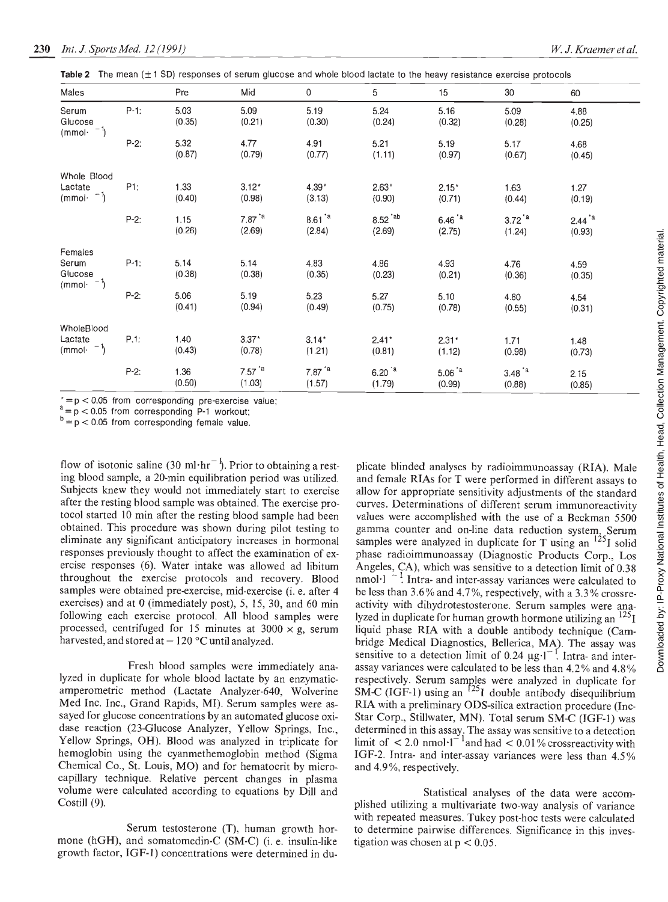|  |  | Table 2 The mean $(\pm 1$ SD) responses of serum glucose and whole blood lactate to the heavy resistance exercise protocols |  |
|--|--|-----------------------------------------------------------------------------------------------------------------------------|--|
|--|--|-----------------------------------------------------------------------------------------------------------------------------|--|

| Males                               |         | Pre            | Mid                           | 0                             | 5                             | 15                          | 30                            | 60                            |
|-------------------------------------|---------|----------------|-------------------------------|-------------------------------|-------------------------------|-----------------------------|-------------------------------|-------------------------------|
| Serum<br>Glucose<br>$(mmol·-1)$     | $P-1$ : | 5.03<br>(0.35) | 5.09<br>(0.21)                | 5.19<br>(0.30)                | 5.24<br>(0.24)                | 5.16<br>(0.32)              | 5.09<br>(0.28)                | 4.88<br>(0.25)                |
|                                     | $P-2:$  | 5.32<br>(0.87) | 4.77<br>(0.79)                | 4.91<br>(0.77)                | 5.21<br>(1.11)                | 5.19<br>(0.97)              | 5.17<br>(0.67)                | 4.68<br>(0.45)                |
| Whole Blood                         |         |                |                               |                               |                               |                             |                               |                               |
| Lactate<br>$(mmol·$ <sup>-1</sup> ) | P1:     | 1.33<br>(0.40) | $3.12*$<br>(0.98)             | $4.39*$<br>(3.13)             | $2.63*$<br>(0.90)             | $2.15*$<br>(0.71)           | 1.63<br>(0.44)                | 1.27<br>(0.19)                |
|                                     | $P-2:$  | 1.15<br>(0.26) | $7.87^{\texttt{a}}$<br>(2.69) | $8.61^{\texttt{a}}$<br>(2.84) | 8.52 <sup>'ab</sup><br>(2.69) | $6.46^{a}$<br>(2.75)        | $3.72^{\texttt{a}}$<br>(1.24) | $2.44^{\texttt{a}}$<br>(0.93) |
| Females                             |         |                |                               |                               |                               |                             |                               |                               |
| Serum<br>Glucose<br>$(mmol·^{-1})$  | $P-1:$  | 5.14<br>(0.38) | 5.14<br>(0.38)                | 4.83<br>(0.35)                | 4.86<br>(0.23)                | 4.93<br>(0.21)              | 4.76<br>(0.36)                | 4.59<br>(0.35)                |
|                                     | $P-2:$  | 5.06<br>(0.41) | 5.19<br>(0.94)                | 5.23<br>(0.49)                | 5.27<br>(0.75)                | 5.10<br>(0.78)              | 4.80<br>(0.55)                | 4.54<br>(0.31)                |
| WholeBlood                          |         |                |                               |                               |                               |                             |                               |                               |
| Lactate<br>$(mmol·-1)$              | P.1:    | 1.40<br>(0.43) | $3.37*$<br>(0.78)             | $3.14*$<br>(1.21)             | $2.41*$<br>(0.81)             | $2.31*$<br>(1.12)           | 1.71<br>(0.98)                | 1.48<br>(0.73)                |
|                                     | $P-2:$  | 1.36<br>(0.50) | $7.57^{\text{a}}$<br>(1.03)   | $7.87^{\texttt{a}}$<br>(1.57) | $6.20^{a}$<br>(1.79)          | $5.06^{\text{a}}$<br>(0.99) | $3.48^{a}$<br>(0.88)          | 2.15<br>(0.85)                |

 $t = p < 0.05$  from corresponding pre-exercise value;

 $a = p < 0.05$  from corresponding P-1 workout;

 $b = p < 0.05$  from corresponding female value.

flow of isotonic saline (30 ml·hr<sup> $-$ )</sup>. Prior to obtaining a resting blood sample, a 20-min equilibration period was utilized. Subjects knew they would not immediately start to exercise after the resting blood sample was obtained. The exercise protocol started 10 min after the resting blood sample had been obtained. This procedure was shown during pilot testing to eliminate any significant anticipatory increases in hormonal responses previously thought to affect the examination of exthroughout the exercise protocols and recovery. Blood samples were obtained pre-exercise, mid-exercise (i. e. after 4 exercises) and at 0 (immediately post), 5, 15, 30, and 60 min following each exercise protocol. All blood samples were processed, centrifuged for 15 minutes at  $3000 \times g$ , serum harvested, and stored at  $-120$  °C until analyzed.

Fresh blood samples were immediately analyzed in duplicate for whole blood lactate by an enzymaticamperometric method (Lactate Analyzer-640, Wolverine Med Inc. Inc., Grand Rapids, MI). Serum samples were assayed for glucose concentrations by an automated glucose oxidase reaction (23-Glucose Analyzer, Yellow Springs, Inc., Yellow Springs, OH). Blood was analyzed in triplicate for hemoglobin using the cyanmethemoglobin method (Sigma Chemical Co., St. Louis, MO) and for hematocrit by microcapillary technique. Relative percent changes in plasma volume were calculated according to equations by Dill and Costill (9).

Serum testosterone (T), human growth hormone (hGH), and somatomedin-C (SM-C) (i. e. insulin-like growth factor, IGF-l) concentrations were determined in du-

ercise responses (6). Water intake was allowed ad libitum Angeles, CA), which was sensitive to a detection limit of 0.38 (2.63) (2.63) (1.24) (0.95) (1.24) (0.95) (0.95) (2.8) (2.8) (0.95) (2.8) (2.8) (0.95) (2.8) (0.95) (2.8) (0.95) (2.8) (0.95) (2.8) (0.95) (2.8) (0.97) (1.24) (0.98) (0.95) (2.8) (0.97) (1.24) (0.98) (0.97) (1.24) (1.12) and female RIAs for T were performed in different assays to allow for appropriate sensitivity adjustments of the standard curves. Determinations of different serum immunoreactivity values were accomplished with the use of a Beckman 5500 gamma counter and on-line data reduction system. Serum samples were analyzed in duplicate for T using an  $^{125}$  solid phase radioimmunoassay (Diagnostic Products Corp., Los  $n_{\text{mol}}$ ,  $^{-1}$  Intra- and inter-assay variances were calculated to be less than 3.6% and 4.7%, respectively, with a 3.3% crossreactivity with dihydrotestosterone. Serum samples were analyzed in duplicate for human growth hormone utilizing an  $^{125}I$ liquid phase RIA with a double antibody technique (Cambridge Medical Diagnostics, Bellerica, MA). The assay was sensitive to a detection limit of 0.24  $\mu$ g·l<sup>-1</sup>. Intra- and interassay variances were calculated to be less than 4.2% and 4.8% respectively. Serum samples were analyzed in duplicate for SM-C (IGF-1) using an  $1231$  double antibody disequilibrium RIA with a preliminary ODS-silica extraction procedure (mc-Star Corp., Stiliwater, MN). Total serum SM-C (JGF-1) was determined in this assay. The assay was sensitive to a detection limit of  $\leq 2.0$  nmol $^{-1}$ and had  $\leq 0.01$ % crossreactivity with IGF-2. Intra- and inter-assay variances were less than 4.5% and 4.9%, respectively.

> Statistical analyses of the data were accomplished utilizing a multivariate two-way analysis of variance with repeated measures. Tukey post-hoc tests were calculated to determine pairwise differences. Significance in this investigation was chosen at  $p < 0.05$ .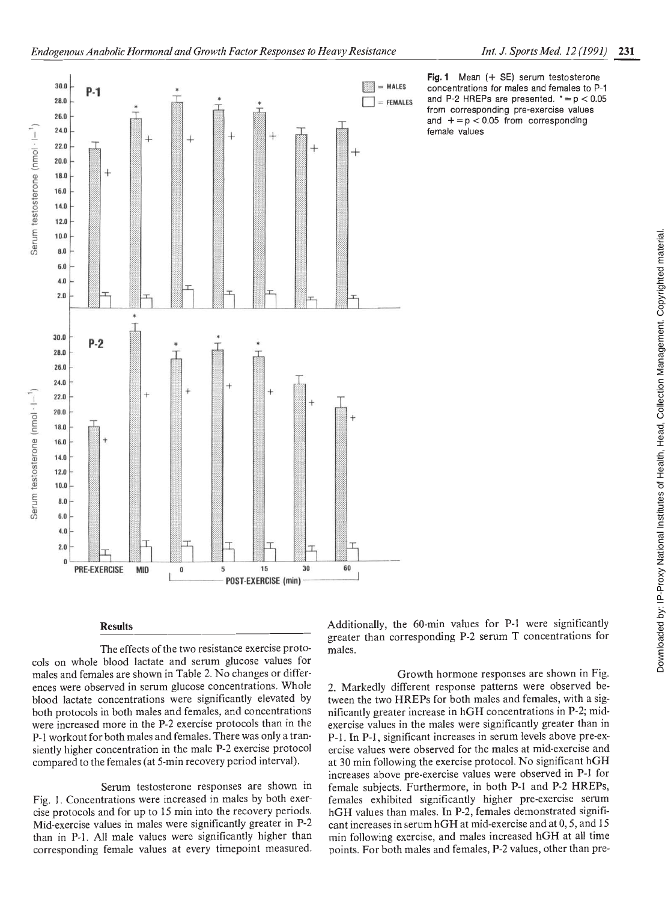

from corresponding pre-exercise values and  $+= p < 0.05$  from corresponding female values

Results

Serum testosterone (nmol $\cdot$ l $-$ <sup>1</sup>

Serum testosterone (nmol $\cdot$  $\vdash$ <sup>1</sup>)

The effects of the two resistance exercise protocols on whole blood lactate and serum glucose values for males and females are shown in Table 2. No changes or differences were observed in serum glucose concentrations. Whole blood lactate concentrations were significantly elevated by both protocols in both males and females, and concentrations were increased more in the P-2 exercise protocols than in the P-i workout for both males and females. There was only a transiently higher concentration in the male P-2 exercise protocol compared to the females (at 5-min recovery period interval).

Serum testosterone responses are shown in Fig. 1. Concentrations were increased in males by both exercise protocols and for up to 15 mm into the recovery periods. Mid-exercise values in males were significantly greater in P-2 than in P-l. All male values were significantly higher than corresponding female values at every timepoint measured. greater than corresponding P-2 serum T concentrations for males.

Growth hormone responses are shown in Fig. 2. Markedly different response patterns were observed between the two HREPs for both males and females, with a significantly greater increase in hGH concentrations in P-2; midexercise values in the males were significantly greater than in P-i. In P-i, significant increases in serum levels above pre-exercise values were observed for the males at mid-exercise and at 30 min following the exercise protocol. No significant hGH increases above pre-exercise values were observed in P-i for female subjects. Furthermore, in both P-i and P-2 HREPs, females exhibited significantly higher pre-exercise serum hGH values than males. In P-2, females demonstrated significant increases in serum hGH at mid-exercise and at 0, 5, and 15 min following exercise, and males increased hGH at all time points. For both males and females, P-2 values, other than pre-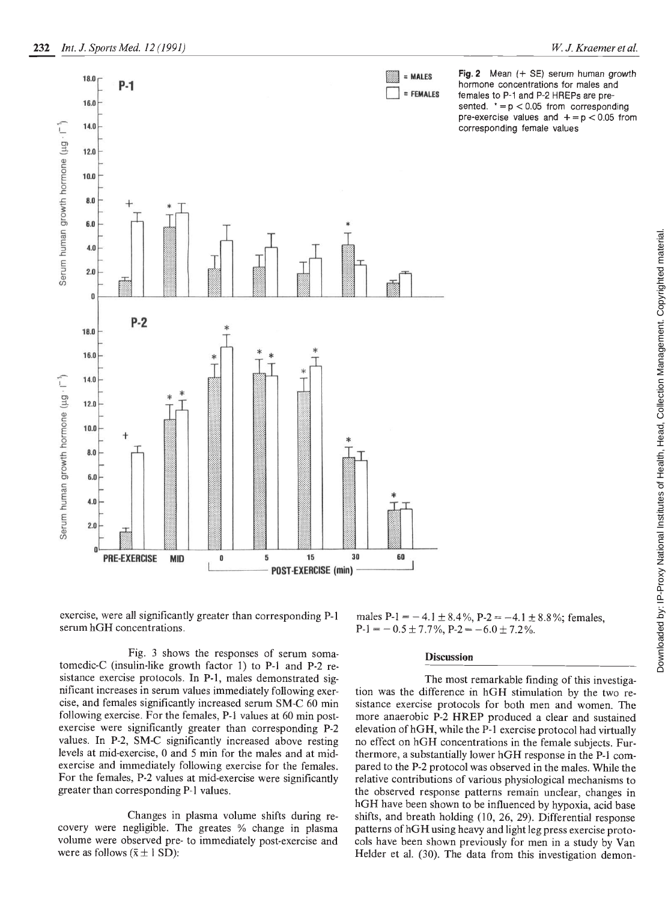

Fig. 2 Mean  $(+$  SE) serum human growth hormone concentrations for males and females to P-i and P-2 HREPs are presented.  $* = p < 0.05$  from corresponding pre-exercise values and  $+$  =  $p$  < 0.05 from corresponding female values

exercise, were all significantly greater than corresponding P-i serum hGH concentrations.

Fig. 3 shows the responses of serum somatomedic-C (insulin-like growth factor 1) to P-1 and P-2 resistance exercise protocols. In P-1, males demonstrated significant increases in serum values immediately following exercise, and females significantly increased serum SM-C 60 min following exercise. For the females, P-1 values at 60 min postexercise were significantly greater than corresponding P-2 values. In P-2, SM-C significantly increased above resting levels at mid-exercise, 0 and 5 mm for the males and at midexercise and immediately following exercise for the females. For the females, P-2 values at mid-exercise were significantly greater than corresponding P-I values.

Changes in plasma volume shifts during recovery were negligible. The greates % change in plasma volume were observed pre- to immediately post-exercise and were as follows  $(\bar{x} \pm 1 \text{ SD})$ :

males P-1 = -4.1 ± 8.4%, P-2 = -4.1 ± 8.8%; females,  $P-1 = -0.5 \pm 7.7\%, P-2 = -6.0 \pm 7.2\%$ .

# **Discussion**

The most remarkable finding of this investigation was the difference in hGH stimulation by the two resistance exercise protocols for both men and women. The more anaerobic P-2 HREP produced a clear and sustained elevation of hGH, while the P-i exercise protocol had virtually no effect on hGH concentrations in the female subjects. Furthermore, a substantially lower hGH response in the P-i compared to the P-2 protocol was observed in the males. While the relative contributions of various physiological mechanisms to the observed response patterns remain unclear, changes in hGH have been shown to be influenced by hypoxia, acid base shifts, and breath holding (10, 26, 29). Differential response patterns of hGH using heavy and light leg press exercise protocols have been shown previously for men in a study by Van Helder et al. (30). The data from this investigation demon-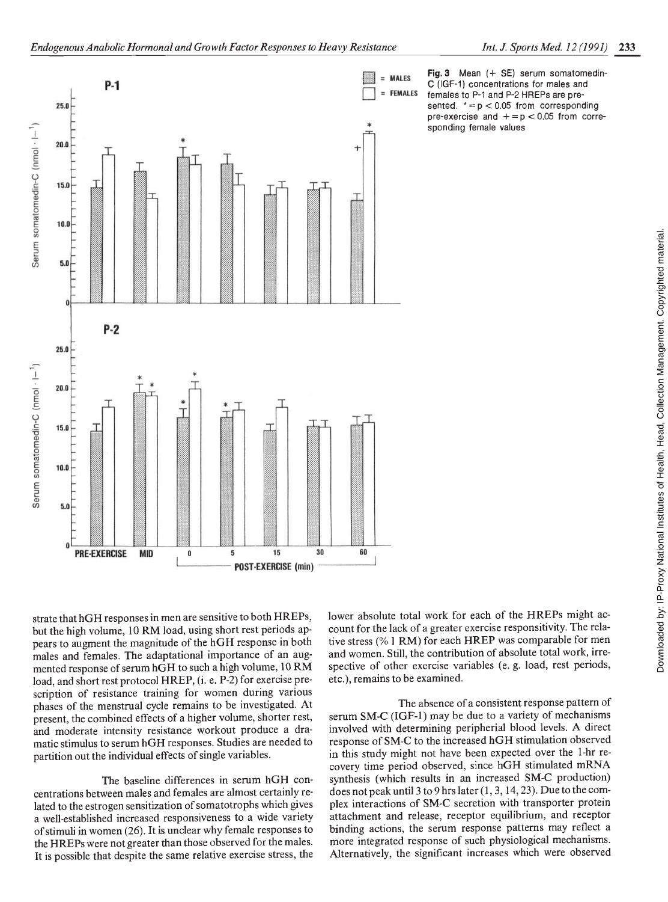

Fig. 3 Mean (+ SE) serum somatomedin-C (IGF-1) concentrations for males and females to P-1 and P-2 HREPs are presented.  $* = p < 0.05$  from corresponding pre-exercise and  $+ = p < 0.05$  from corresponding female values

strate that hGH responses in men are sensitive to both HREPs, but the high volume, 10 RM load, using short rest periods appears to augment the magnitude of the hGH response in both males and females. The adaptational importance of an augmented response of serum hGH to such a high volume, 10 RM load, and short rest protocol HREP, (i. e. P-2) for exercise prescription of resistance training for women during various phases of the menstrual cycle remains to be investigated. At present, the combined effects of a higher volume, shorter rest, and moderate intensity resistance workout produce a dramatic stimulus to serum hGH responses. Studies are needed to partition out the individual effects of single variables.

The baseline differences in serum hGH concentrations between males and females are almost certainly related to the estrogen sensitization of somatotrophs which gives a well-established increased responsiveness to a wide variety of stimuli in women (26). It is unclear why female responses to the HREPs were not greater than those observed for the males. It is possible that despite the same relative exercise stress, the lower absolute total work for each of the HREPs might account for the lack of a greater exercise responsitivity. The relaand women. Still, the contribution of absolute total work, irrespective of other exercise variables (e. g. load, rest periods, etc.), remains to be examined.

The absence of a consistent response pattern of serum SM-C (IGF-1) may be due to a variety of mechanisms involved with determining peripherial blood levels. A direct response of SM-C to the increased hGH stimulation observed in this study might not have been expected over the 1-hr recovery time period observed, since hGH stimulated mRNA synthesis (which results in an increased SM-C production) does not peak until 3 to 9 hrs later  $(1, 3, 14, 23)$ . Due to the complex interactions of SM-C secretion with transporter protein attachment and release, receptor equilibrium, and receptor binding actions, the serum response patterns may reflect a more integrated response of such physiological mechanisms. Alternatively, the significant increases which were observed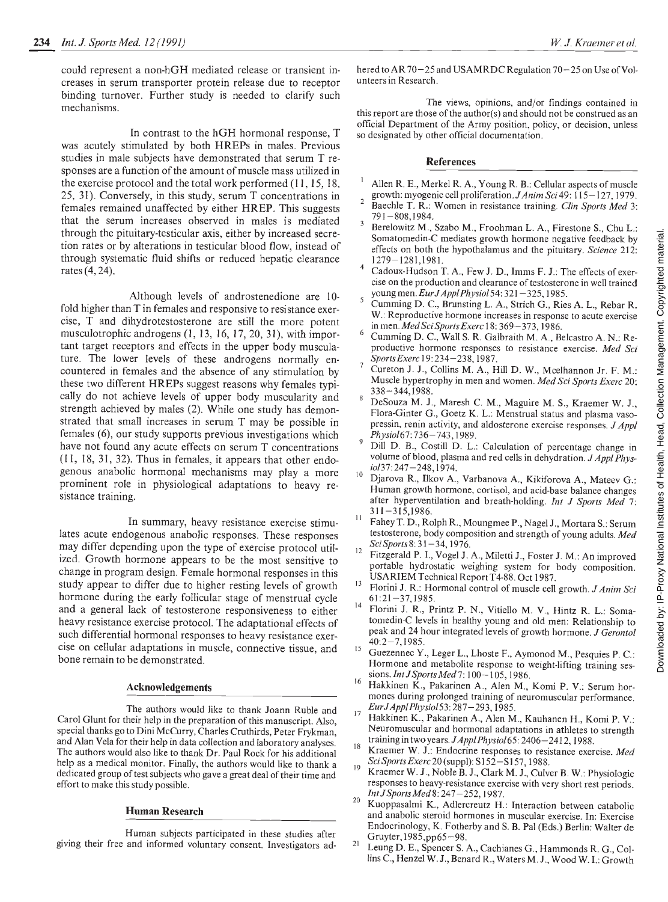could represent a non-hGH mediated release or transient increases in serum transporter protein release due to receptor binding turnover. Further study is needed to clarify such mechanisms.

In contrast to the hGH hormonal response, T was acutely stimulated by both HREPs in males. Previous studies in male subjects have demonstrated that serum T responses are a function of the amount of muscle mass utilized in the exercise protocol and the total work performed (11, 15, 18, 25, 31). Conversely, in this study, serum T concentrations in  $\frac{1}{2}$ females remained unaffected by either HREP. This suggests that the serum increases observed in males is mediated through the pituitary-testicular axis, either by increased secretion rates or by alterations in testicular blood flow, instead of through systematic fluid shifts or reduced hepatic clearance  $\frac{4}{3}$ rates (4,24).

Although levels of androstenedione are 10fold higher than T in females and responsive to resistance exercise, T and dihydrotestosterone are still the more potent musculotrophic androgens (1, 13, 16, 17, 20, 31), with important target receptors and effects in the upper body musculature. The lower levels of these androgens normally encountered in females and the absence of any stimulation by these two different HREPs suggest reasons why females typically do not achieve levels of upper body muscularity and strength achieved by males (2). While one study has demonstrated that small increases in serum T may be possible in females (6), our study supports previous investigations which have not found any acute effects on serum T concentrations (11, 18, 31, 32). Thus in females, it appears that other endogenous anabolic hormonal mechanisms may play a more prominent role in physiological adaptations to heavy resistance training.

In summary, heavy resistance exercise stimulates acute endogenous anabolic responses. These responses may differ depending upon the type of exercise protocol utilized. Growth hormone appears to be the most sensitive to change in program design. Female hormonal responses in this<br>study appear to differ due to higher resting levels of growth study appear to differ due to higher resting levels of growth hormone during the early follicular stage of menstrual cycle and a general lack of testosterone responsiveness to either heavy resistance exercise protocol. The adaptational effects of such differential hormonal responses to heavy resistance exercise on cellular adaptations in muscle, connective tissue, and bone remain to be demonstrated.

#### Acknowledgements

The authors would like to thank Joann Ruble and  $\frac{17}{17}$ Carol Glunt for their help in the preparation of this manuscript. Also, special thanks go to Dini McCurry, Charles Cruthirds, Peter Frykman, and Alan Vela for their help in data collection and laboratory analyses. The authors would also like to thank Dr. Paul Rock for his additional help as a medical monitor. Finally, the authors would like to thank a  $\frac{Sci~Sports~Exercise~20~(supp1):~S152-S157,~1988.}{K}$ dedicated group of test subjects who gave a great deal of their time and effort to make this study possible.

# Human Research

Human subjects participated in these studies after<br>and informed voluntary consent. Investigators ad. 21 giving their free and informed voluntary consent. Investigators ad-

hered to AR 70–25 and USAMRDC Regulation 70–25 on Use of Volunteers in Research.

The views, opinions, and/or findings contained in this report are those of the author(s) and should not be construed as an official Department of the Army position, policy, or decision, unless so designated by other official documentation.

# References

- Allen R. E., Merkel R. A., Young R. B.: Cellular aspects of muscle growth: myogenic cell proliferation. JAnim Sci 49: 115—127, 1979.
- Baechle T. R.: Women in resistance training. Clin Sports Med 3: 791—808,1984.
- Somatomedin-C mediates growth hormone negative feedback by effects on both the hypothalamus and the pituitary. Science 212: 1279—1281,1981.
- Cadoux-Hudson T. A., Few J. D., lmms F. J.: The effects of exercise on the production and clearance of testosterone in well trained young men.  $EurJApplPhysiol 54: 321-325, 1985.$
- Cumming D. C., Brunsting L. A., Strich G., Ries A. L., Rebar R. W.: Reproductive hormone increases in response to acute exercise in men. Med Sci Sports Exerc 18:369—373, 1986.
- Cumming D. C., Wall S. R. Galbraith M. A., Belcastro A. N.: Reproductive hormone responses to resistance exercise. Med Sci Sports Exerc 19:234—238, 1987.
- Cureton J. J., Collins M. A., Hill D. W., Mcelhannon Jr. F. M,: Muscle hypertrophy in men and women. Med Sci Sports Exerc 20: 338 —344, 1988.
- Berelowitz M., Szabo M., Froohman L.A., Firestone S., Chu L.:<br>Somatomedin-C mediates growth hormone negative feedback by<br>effects on both the hypothalamus and the pitutiary. Science 212:<br>
1279–1281,1981.<br>
Cadoux-Hudson T. A DeSouza M. J., Maresh C. M., Maguire M. S., Kraemer W. J., Flora-Ginter G., Goetz K. L.: Menstrual status and plasma vasopressin, renin activity, and aldosterone exercise responses. J Appl Physiol67:736—743, 1989.
- Dill D. B., Costill D. L.: Calculation of percentage change in volume of blood, plasma and red cells in dehydration.  $J$  Appl Physio137:247—248, 1974.
- 10 Djarova R., Ilkov A., Varbanova A., Kikiforova A., Mateev G.: Human growth hormone, cortisol, and acid-base balance changes after hyperventilation and breath-holding. Int J Sports Med 7: 311—315,1986.
- $\!11$ Fahey T. D., Rolph R., Moungmee P., Nagel J., Mortara S.: Serum testosterone, body composition and strength of young adults. Med SciSports8:31—34, 1976.
- 12 Fitzgerald P. I., Vogel J. A., Miletti J., Foster J. M.: An improved portable hydrostatic weighing system for body composition. USARIEM Technical Report T4-88. Oct 1987.
- Florini J. R.: Hormonal control of muscle cell growth. J Anim Sci 61:21—37,1985.
- 14 Florini J. R., Printz P. N., Vitiello M. V., Hintz R. L.: Somatomedin-C levels in healthy young and old men: Relationship to peak and 24 hour integrated levels of growth hormone. J Gerontol 40:2—7,1985.
- Guezennec Y., Leger L., Lhoste F., Aymonod M., Pesquies P. C.: Hormone and metabolite response to weight-lifting training sessions. *Int J Sports Med* 7: 100 - 105, 1986. 16
- Hakkinen K., Pakarinen A., Alen M., Komi P. V.: Serum hormones during prolonged training of neuromuscular performance. EurfApplPhysiols3:287—293, 1985.
- 17 Hakkinen K., Pakarinen A., Alen M., Kauhanen H., Komi P. V.: Neuromuscular and hormonal adaptations in athletes to strength<br>training in two years. J Appl Physiol 65:2406-2412, 1988.
- Kraemer W. J.: Endocrine responses to resistance exercise. Med
- Kraemer W. J., Noble B. J., Clark M. J., Culver B. W.: Physiologic responses to heavy-resistance exercise with very short rest periods. Int J Sports Med 8: 247-252, 1987.
- Kuoppasalmi K., Adlercreutz H.: Interaction between catabolic and anabolic steroid hormones in muscular exercise. In: Exercise Endocrinology, K. Fotherby and S. B. Pal (Eds.) Berlin: Walter de Gruyter, l985,pp6S—98.
- Leung D. E., Spencer S. A., Cachianes G., Hammonds R. G., Collins C., Henzel W. J., Benard R., Waters M. J., Wood W. I.: Growth